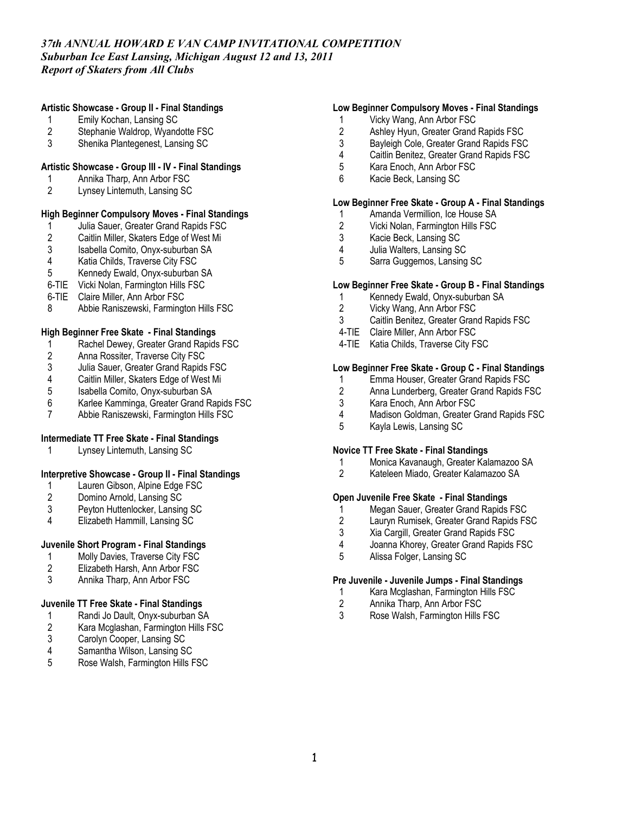# *37th ANNUAL HOWARD E VAN CAMP INVITATIONAL COMPETITION Suburban Ice East Lansing, Michigan August 12 and 13, 2011 Report of Skaters from All Clubs*

# **Artistic Showcase - Group II - Final Standings**

- 1 Emily Kochan, Lansing SC<br>2 Stephanie Waldrop, Wyand
- Stephanie Waldrop, Wyandotte FSC
- 3 Shenika Plantegenest, Lansing SC

# **Artistic Showcase - Group III - IV - Final Standings**

- 1 Annika Tharp, Ann Arbor FSC<br>2 Lynsev Lintemuth. Lansing SC
- Lynsey Lintemuth, Lansing SC

# **High Beginner Compulsory Moves - Final Standings**

- 1 Julia Sauer, Greater Grand Rapids FSC<br>2 Caitlin Miller, Skaters Edge of West Mi
- 2 Caitlin Miller, Skaters Edge of West Mi
- 3 Isabella Comito, Onyx-suburban SA
- 4 Katia Childs, Traverse City FSC
- 5 Kennedy Ewald, Onyx-suburban SA
- 6-TIE Vicki Nolan, Farmington Hills FSC
- 6-TIE Claire Miller, Ann Arbor FSC
- 8 Abbie Raniszewski, Farmington Hills FSC

## **High Beginner Free Skate - Final Standings**

- 1 Rachel Dewey, Greater Grand Rapids FSC<br>2 Anna Rossiter, Traverse City FSC
- 2 Anna Rossiter, Traverse City FSC<br>3 Julia Sauer, Greater Grand Rapids
- 3 Julia Sauer, Greater Grand Rapids FSC<br>4 Caitlin Miller, Skaters Edge of West Mi
- 4 Caitlin Miller, Skaters Edge of West Mi
- 5 Isabella Comito, Onyx-suburban SA
- 6 Karlee Kamminga, Greater Grand Rapids FSC
- 7 Abbie Raniszewski, Farmington Hills FSC

## **Intermediate TT Free Skate - Final Standings**

1 Lynsey Lintemuth, Lansing SC

# **Interpretive Showcase - Group II - Final Standings**

- 1 Lauren Gibson, Alpine Edge FSC
- 2 Domino Arnold, Lansing SC<br>3 Peyton Huttenlocker, Lansin
- Peyton Huttenlocker, Lansing SC
- 4 Elizabeth Hammill, Lansing SC

# **Juvenile Short Program - Final Standings**

- 1 Molly Davies, Traverse City FSC
- 2 Elizabeth Harsh, Ann Arbor FSC<br>3 Annika Tharp, Ann Arbor FSC
- 3 Annika Tharp, Ann Arbor FSC

## **Juvenile TT Free Skate - Final Standings**

- 1 Randi Jo Dault, Onyx-suburban SA<br>2 Kara Mcglashan, Farmington Hills F
- 2 Kara Mcglashan, Farmington Hills FSC<br>3 Carolyn Cooper, Lansing SC
- 3 Carolyn Cooper, Lansing SC
- 4 Samantha Wilson, Lansing SC
- 5 Rose Walsh, Farmington Hills FSC

# **Low Beginner Compulsory Moves - Final Standings**

- 1 Vicky Wang, Ann Arbor FSC
- 2 Ashley Hyun, Greater Grand Rapids FSC
- 3 Bayleigh Cole, Greater Grand Rapids FSC
- 4 Caitlin Benitez, Greater Grand Rapids FSC
- 5 Kara Enoch, Ann Arbor FSC
- 6 Kacie Beck, Lansing SC

## **Low Beginner Free Skate - Group A - Final Standings**

- 1 Amanda Vermillion, Ice House SA<br>2 Vicki Nolan. Farmington Hills FSC
- 2 Vicki Nolan, Farmington Hills FSC<br>3 Kacie Beck, Lansing SC
- Kacie Beck, Lansing SC
- 4 Julia Walters, Lansing SC
- 5 Sarra Guggemos, Lansing SC

## **Low Beginner Free Skate - Group B - Final Standings**

- 1 Kennedy Ewald, Onyx-suburban SA<br>2 Vicky Wang. Ann Arbor FSC
- Vicky Wang, Ann Arbor FSC
- 3 Caitlin Benitez, Greater Grand Rapids FSC
- 4-TIE Claire Miller, Ann Arbor FSC
- 4-TIE Katia Childs, Traverse City FSC

## **Low Beginner Free Skate - Group C - Final Standings**

- 1 Emma Houser, Greater Grand Rapids FSC
- 2 Anna Lunderberg, Greater Grand Rapids FSC<br>3 Kara Enoch. Ann Arbor FSC
- Kara Enoch, Ann Arbor FSC
- 4 Madison Goldman, Greater Grand Rapids FSC
- 5 Kayla Lewis, Lansing SC

#### **Novice TT Free Skate - Final Standings**

- 1 Monica Kavanaugh, Greater Kalamazoo SA
- 2 Kateleen Miado, Greater Kalamazoo SA

## **Open Juvenile Free Skate - Final Standings**

- 
- 1 Megan Sauer, Greater Grand Rapids FSC<br>2 Lauryn Rumisek, Greater Grand Rapids FS Lauryn Rumisek, Greater Grand Rapids FSC
- 3 Xia Cargill, Greater Grand Rapids FSC
- 4 Joanna Khorey, Greater Grand Rapids FSC
- 5 Alissa Folger, Lansing SC

## **Pre Juvenile - Juvenile Jumps - Final Standings**

- 1 Kara Mcglashan, Farmington Hills FSC
- 2 Annika Tharp, Ann Arbor FSC<br>3 Rose Walsh, Farmington Hills
- 3 Rose Walsh, Farmington Hills FSC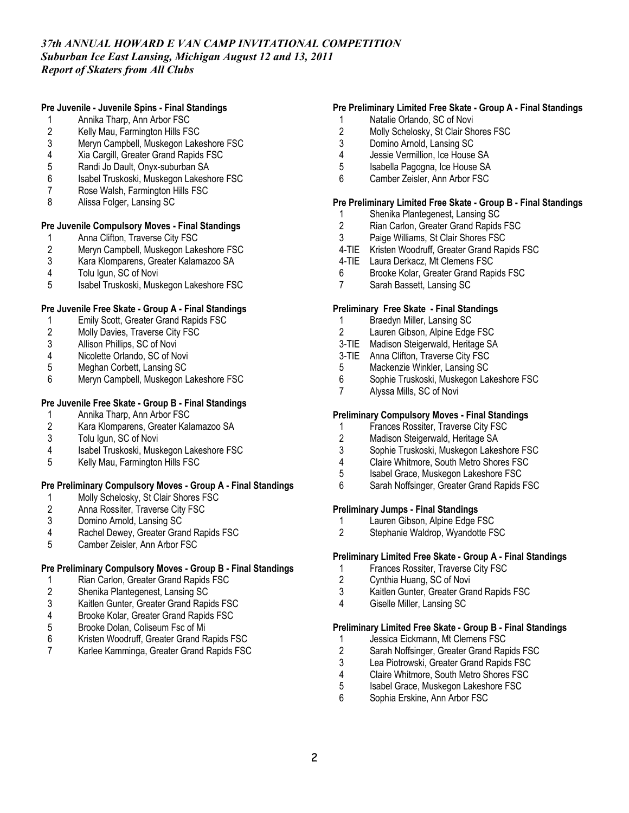# *37th ANNUAL HOWARD E VAN CAMP INVITATIONAL COMPETITION Suburban Ice East Lansing, Michigan August 12 and 13, 2011 Report of Skaters from All Clubs*

## **Pre Juvenile - Juvenile Spins - Final Standings**

- 1 Annika Tharp, Ann Arbor FSC
- 2 Kelly Mau, Farmington Hills FSC
- 3 Meryn Campbell, Muskegon Lakeshore FSC
- 4 Xia Cargill, Greater Grand Rapids FSC<br>5 Randi Jo Dault, Onyx-suburban SA
- Randi Jo Dault, Onyx-suburban SA
- 6 Isabel Truskoski, Muskegon Lakeshore FSC
- 7 Rose Walsh, Farmington Hills FSC
- 8 Alissa Folger, Lansing SC

# **Pre Juvenile Compulsory Moves - Final Standings**

- 
- 1 Anna Clifton, Traverse City FSC<br>2 Meryn Campbell, Muskegon Lak 2 Meryn Campbell, Muskegon Lakeshore FSC
- 3 Kara Klomparens, Greater Kalamazoo SA
- Tolu Igun, SC of Novi
- 5 Isabel Truskoski, Muskegon Lakeshore FSC

#### **Pre Juvenile Free Skate - Group A - Final Standings**

- 1 Emily Scott, Greater Grand Rapids FSC
- 2 Molly Davies, Traverse City FSC<br>3 Allison Phillips. SC of Novi
- Allison Phillips, SC of Novi
- 4 Nicolette Orlando, SC of Novi<br>5 Meghan Corbett, Lansing SC
- 5 Meghan Corbett, Lansing SC
- 6 Meryn Campbell, Muskegon Lakeshore FSC

## **Pre Juvenile Free Skate - Group B - Final Standings**

- 1 Annika Tharp, Ann Arbor FSC
- 2 Kara Klomparens, Greater Kalamazoo SA
- Tolu Igun, SC of Novi
- 4 Isabel Truskoski, Muskegon Lakeshore FSC
- 5 Kelly Mau, Farmington Hills FSC

# **Pre Preliminary Compulsory Moves - Group A - Final Standings**

- 1 Molly Schelosky, St Clair Shores FSC<br>2 Anna Rossiter, Traverse City FSC
- Anna Rossiter, Traverse City FSC
- 3 Domino Arnold, Lansing SC
- 4 Rachel Dewey, Greater Grand Rapids FSC
- 5 Camber Zeisler, Ann Arbor FSC

#### **Pre Preliminary Compulsory Moves - Group B - Final Standings**

- 1 Rian Carlon, Greater Grand Rapids FSC<br>2 Shenika Plantegenest, Lansing SC
- 2 Shenika Plantegenest, Lansing SC
- 3 Kaitlen Gunter, Greater Grand Rapids FSC
- 4 Brooke Kolar, Greater Grand Rapids FSC<br>5 Brooke Dolan, Coliseum Fsc of Mi
- 5 Brooke Dolan, Coliseum Fsc of Mi
- 6 Kristen Woodruff, Greater Grand Rapids FSC
- 7 Karlee Kamminga, Greater Grand Rapids FSC

# **Pre Preliminary Limited Free Skate - Group A - Final Standings**

- 1 Natalie Orlando, SC of Novi
- 2 Molly Schelosky, St Clair Shores FSC
- 3 Domino Arnold, Lansing SC
- 4 Jessie Vermillion, Ice House SA
- 5 Isabella Pagogna, Ice House SA
- 6 Camber Zeisler, Ann Arbor FSC

# **Pre Preliminary Limited Free Skate - Group B - Final Standings**

- 1 Shenika Plantegenest, Lansing SC<br>2 Rian Carlon. Greater Grand Rapids
- 2 Rian Carlon, Greater Grand Rapids FSC
- 3 Paige Williams, St Clair Shores FSC
- 4-TIE Kristen Woodruff, Greater Grand Rapids FSC
- 4-TIE Laura Derkacz, Mt Clemens FSC
- 6 Brooke Kolar, Greater Grand Rapids FSC
- 7 Sarah Bassett, Lansing SC

#### **Preliminary Free Skate - Final Standings**

- 1 Braedyn Miller, Lansing SC
- 2 Lauren Gibson, Alpine Edge FSC
- 3-TIE Madison Steigerwald, Heritage SA
- 3-TIE Anna Clifton, Traverse City FSC
- 5 Mackenzie Winkler, Lansing SC<br>6 Sophie Truskoski, Muskegon Lal
- 6 Sophie Truskoski, Muskegon Lakeshore FSC
- 7 Alyssa Mills, SC of Novi

#### **Preliminary Compulsory Moves - Final Standings**

- 1 Frances Rossiter, Traverse City FSC<br>2 Madison Steigerwald. Heritage SA
- 2 Madison Steigerwald, Heritage SA<br>3 Sophie Truskoski, Muskegon Lakes
- 3 Sophie Truskoski, Muskegon Lakeshore FSC
- 4 Claire Whitmore, South Metro Shores FSC<br>5 Isabel Grace. Muskegon Lakeshore FSC
- 5 Isabel Grace, Muskegon Lakeshore FSC
- 6 Sarah Noffsinger, Greater Grand Rapids FSC

#### **Preliminary Jumps - Final Standings**

- 1 Lauren Gibson, Alpine Edge FSC
- 2 Stephanie Waldrop, Wyandotte FSC

#### **Preliminary Limited Free Skate - Group A - Final Standings**

- 1 Frances Rossiter, Traverse City FSC
- 2 Cynthia Huang, SC of Novi
- 3 Kaitlen Gunter, Greater Grand Rapids FSC
- 4 Giselle Miller, Lansing SC

#### **Preliminary Limited Free Skate - Group B - Final Standings**

- 1 Jessica Eickmann, Mt Clemens FSC<br>2 Sarah Noffsinger. Greater Grand Rar
- 2 Sarah Noffsinger, Greater Grand Rapids FSC
- Lea Piotrowski, Greater Grand Rapids FSC
- 4 Claire Whitmore, South Metro Shores FSC
- 5 Isabel Grace, Muskegon Lakeshore FSC
- 6 Sophia Erskine, Ann Arbor FSC